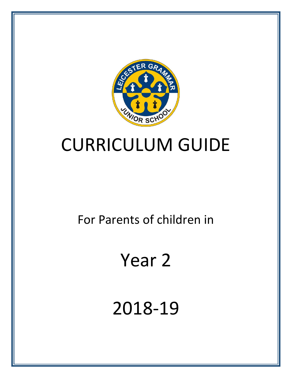

## CURRICULUM GUIDE

For Parents of children in

# Year 2

2018-19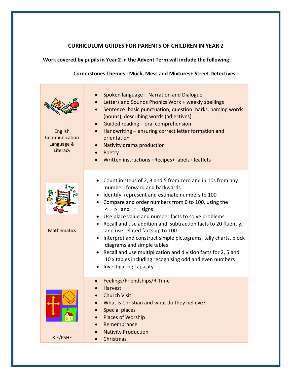### **CURRICULUM GUIDES FOR PARENTS OF CHILDREN IN YEAR 2**

### **Work covered by pupils in Year 2 in the Advent Term will include the following:**

#### **Cornerstones Themes : Muck, Mess and Mixtures+ Street Detectives**

| English<br>Communication<br>Language &<br>Literacy | Spoken language: Narration and Dialogue<br>Letters and Sounds Phonics Work + weekly spellings<br>Sentence: basic punctuation, question marks, naming words<br>(nouns), describing words (adjectives)<br>Guided reading - oral comprehension<br>$\bullet$<br>Handwriting - ensuring correct letter formation and<br>$\bullet$<br>orientation<br>Nativity drama production<br>Poetry<br>$\bullet$<br>Written instructions +Recipes+ labels+ leaflets<br>$\bullet$                                                                                                                                                                                           |
|----------------------------------------------------|-----------------------------------------------------------------------------------------------------------------------------------------------------------------------------------------------------------------------------------------------------------------------------------------------------------------------------------------------------------------------------------------------------------------------------------------------------------------------------------------------------------------------------------------------------------------------------------------------------------------------------------------------------------|
| <b>Mathematics</b>                                 | • Count in steps of 2, 3 and 5 from zero and in 10s from any<br>number, forward and backwards<br>• Identify, represent and estimate numbers to 100<br>• Compare and order numbers from 0 to 100, using the<br>$>$ and = signs<br>$\lt$<br>Use place value and number facts to solve problems<br>• Recall and use addition and subtraction facts to 20 fluently,<br>and use related facts up to 100<br>• Interpret and construct simple pictograms, tally charts, block<br>diagrams and simple tables<br>Recall and use multiplication and division facts for 2, 5 and<br>10 x tables including recognising odd and even numbers<br>Investigating capacity |
| R.E/PSHE                                           | Feelings/Friendships/R-Time<br><b>Harvest</b><br><b>Church Visit</b><br>What is Christian and what do they believe?<br><b>Special places</b><br>Places of Worship<br>Remembrance<br><b>Nativity Production</b><br>Christmas                                                                                                                                                                                                                                                                                                                                                                                                                               |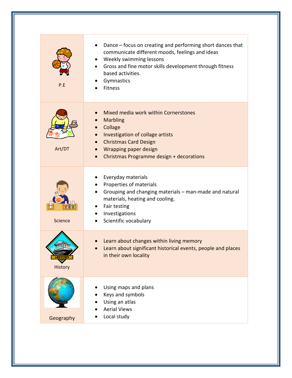| P.E                       | Dance – focus on creating and performing short dances that<br>communicate different moods, feelings and ideas<br>Weekly swimming lessons<br>Gross and fine motor skills development through fitness<br>based activities.<br>Gymnastics<br>Fitness               |
|---------------------------|-----------------------------------------------------------------------------------------------------------------------------------------------------------------------------------------------------------------------------------------------------------------|
| Art/DT                    | Mixed media work within Cornerstones<br><b>Marbling</b><br>Collage<br>$\bullet$<br>Investigation of collage artists<br>$\bullet$<br><b>Christmas Card Design</b><br>Wrapping paper design<br>$\bullet$<br>Christmas Programme design + decorations<br>$\bullet$ |
| <b>Science</b>            | Everyday materials<br>Properties of materials<br>Grouping and changing materials - man-made and natural<br>materials, heating and cooling.<br>Fair testing<br>Investigations<br>Scientific vocabulary                                                           |
| <b>HISTORY</b><br>History | Learn about changes within living memory<br>Learn about significant historical events, people and places<br>in their own locality                                                                                                                               |
| Geography                 | Using maps and plans<br>Keys and symbols<br>Using an atlas<br><b>Aerial Views</b><br>Local study                                                                                                                                                                |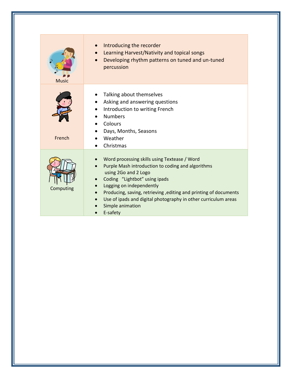| <b>Music</b> | Introducing the recorder<br>Learning Harvest/Nativity and topical songs<br>Developing rhythm patterns on tuned and un-tuned<br>percussion                                                                                                                                                                                                                                 |
|--------------|---------------------------------------------------------------------------------------------------------------------------------------------------------------------------------------------------------------------------------------------------------------------------------------------------------------------------------------------------------------------------|
| French       | Talking about themselves<br>Asking and answering questions<br>Introduction to writing French<br><b>Numbers</b><br>Colours<br>$\bullet$<br>Days, Months, Seasons<br>Weather<br>Christmas                                                                                                                                                                                   |
| Computing    | Word processing skills using Textease / Word<br>Purple Mash introduction to coding and algorithms<br>using 2Go and 2 Logo<br>Coding "Lightbot" using ipads<br>Logging on independently<br>Producing, saving, retrieving, editing and printing of documents<br>$\bullet$<br>Use of ipads and digital photography in other curriculum areas<br>Simple animation<br>E-safety |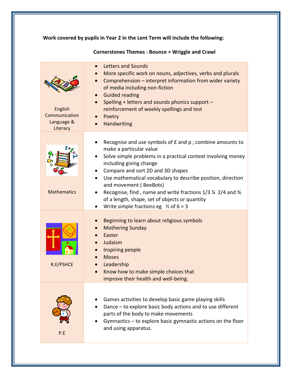**Work covered by pupils in Year 2 in the Lent Term will include the following:**

| English<br>Communication<br>Language &<br>Literacy | <b>Letters and Sounds</b><br>More specific work on nouns, adjectives, verbs and plurals<br>Comprehension - interpret information from wider variety<br>of media including non-fiction<br><b>Guided reading</b><br>Spelling + letters and sounds phonics support -<br>$\bullet$<br>reinforcement of weekly spellings and test<br>Poetry<br>Handwriting                                                                                                                                |
|----------------------------------------------------|--------------------------------------------------------------------------------------------------------------------------------------------------------------------------------------------------------------------------------------------------------------------------------------------------------------------------------------------------------------------------------------------------------------------------------------------------------------------------------------|
| <b>Mathematics</b>                                 | Recognise and use symbols of £ and p ; combine amounts to<br>make a particular value<br>Solve simple problems in a practical context involving money<br>including giving change<br>Compare and sort 2D and 3D shapes<br>Use mathematical vocabulary to describe position, direction<br>and movement (BeeBots)<br>Recognise, find, name and write fractions 1/3 1/4 2/4 and 3/4<br>of a length, shape, set of objects or quantity<br>Write simple fractions eg $\frac{1}{2}$ of 6 = 3 |
| R.E/PSHCE                                          | Beginning to learn about religious symbols<br><b>Mothering Sunday</b><br>Easter<br>Judaism<br>Inspiring people<br><b>Moses</b><br>Leadership<br>Know how to make simple choices that<br>improve their health and well-being.                                                                                                                                                                                                                                                         |
| P.E                                                | Games activities to develop basic game playing skills<br>Dance - to explore basic body actions and to use different<br>parts of the body to make movements<br>Gymnastics - to explore basic gymnastic actions on the floor<br>and using apparatus.                                                                                                                                                                                                                                   |

**Cornerstones Themes : Bounce + Wriggle and Crawl**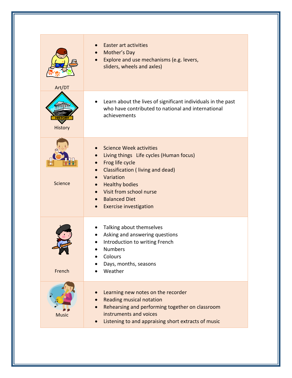| Art/DT         | <b>Easter art activities</b><br>Mother's Day<br>Explore and use mechanisms (e.g. levers,<br>sliders, wheels and axles)                                                                                                                                     |
|----------------|------------------------------------------------------------------------------------------------------------------------------------------------------------------------------------------------------------------------------------------------------------|
| History        | Learn about the lives of significant individuals in the past<br>who have contributed to national and international<br>achievements                                                                                                                         |
| <b>Science</b> | <b>Science Week activities</b><br>Living things Life cycles (Human focus)<br>Frog life cycle<br>Classification (living and dead)<br>Variation<br><b>Healthy bodies</b><br>Visit from school nurse<br><b>Balanced Diet</b><br><b>Exercise investigation</b> |
| French         | Talking about themselves<br>Asking and answering questions<br>Introduction to writing French<br><b>Numbers</b><br>Colours<br>Days, months, seasons<br>Weather                                                                                              |
| <b>Music</b>   | Learning new notes on the recorder<br><b>Reading musical notation</b><br>Rehearsing and performing together on classroom<br>instruments and voices<br>Listening to and appraising short extracts of music                                                  |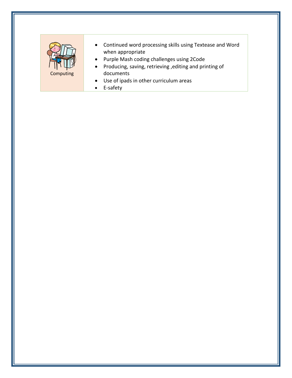

- Continued word processing skills using Textease and Word when appropriate
- Purple Mash coding challenges using 2Code
- Producing, saving, retrieving ,editing and printing of documents
- Use of ipads in other curriculum areas
- E-safety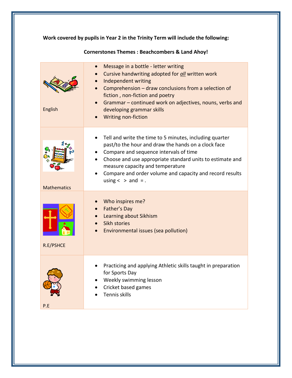**Work covered by pupils in Year 2 in the Trinity Term will include the following:**

| English            | Message in a bottle - letter writing<br>Cursive handwriting adopted for all written work<br>Independent writing<br>Comprehension - draw conclusions from a selection of<br>fiction, non-fiction and poetry<br>Grammar - continued work on adjectives, nouns, verbs and<br>developing grammar skills<br><b>Writing non-fiction</b>            |
|--------------------|----------------------------------------------------------------------------------------------------------------------------------------------------------------------------------------------------------------------------------------------------------------------------------------------------------------------------------------------|
| <b>Mathematics</b> | Tell and write the time to 5 minutes, including quarter<br>past/to the hour and draw the hands on a clock face<br>Compare and sequence intervals of time<br>Choose and use appropriate standard units to estimate and<br>measure capacity and temperature<br>Compare and order volume and capacity and record results<br>using $<$ > and = . |
| R.E/PSHCE          | Who inspires me?<br>Father's Day<br>Learning about Sikhism<br>Sikh stories<br>Environmental issues (sea pollution)                                                                                                                                                                                                                           |
| P.E                | Practicing and applying Athletic skills taught in preparation<br>for Sports Day<br>Weekly swimming lesson<br>Cricket based games<br>Tennis skills                                                                                                                                                                                            |

### **Cornerstones Themes : Beachcombers & Land Ahoy!**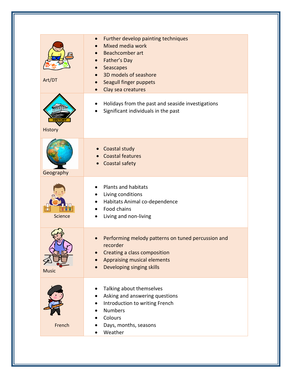| Art/DT         | Further develop painting techniques<br>$\bullet$<br>Mixed media work<br>Beachcomber art<br>$\bullet$<br>Father's Day<br>$\bullet$<br>Seascapes<br>3D models of seashore<br>Seagull finger puppets<br>Clay sea creatures |
|----------------|-------------------------------------------------------------------------------------------------------------------------------------------------------------------------------------------------------------------------|
| History        | Holidays from the past and seaside investigations<br>Significant individuals in the past                                                                                                                                |
| Geography      | <b>Coastal study</b><br><b>Coastal features</b><br>Coastal safety                                                                                                                                                       |
| <b>Science</b> | <b>Plants and habitats</b><br>Living conditions<br>٠<br>Habitats Animal co-dependence<br>$\bullet$<br>Food chains<br>Living and non-living<br>٠                                                                         |
| <b>Music</b>   | Performing melody patterns on tuned percussion and<br>recorder<br>Creating a class composition<br>Appraising musical elements<br>Developing singing skills                                                              |
| French         | Talking about themselves<br>Asking and answering questions<br>Introduction to writing French<br><b>Numbers</b><br>Colours<br>Days, months, seasons<br>Weather                                                           |